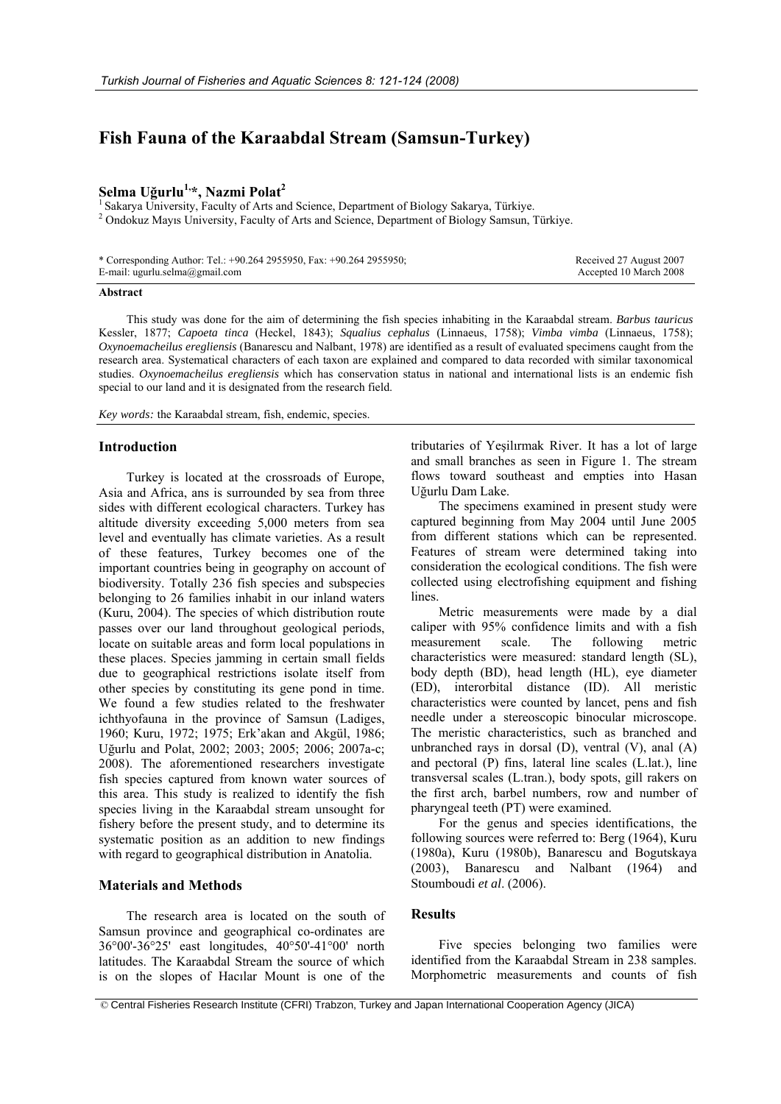# **Fish Fauna of the Karaabdal Stream (Samsun-Turkey)**

# **Selma Uğurlu1,\*, Nazmi Polat2**

<sup>1</sup> Sakarya University, Faculty of Arts and Science, Department of Biology Sakarya, Türkiye. <sup>2</sup> Ondokuz Mayıs University, Faculty of Arts and Science, Department of Biology Samsun, Türkiye.

| * Corresponding Author: Tel.: +90.264 2955950, Fax: +90.264 2955950; | Received 27 August 2007 |
|----------------------------------------------------------------------|-------------------------|
| E-mail: ugurlu.selma@gmail.com                                       | Accepted 10 March 2008  |

## **Abstract**

This study was done for the aim of determining the fish species inhabiting in the Karaabdal stream. *Barbus tauricus* Kessler, 1877; *Capoeta tinca* (Heckel, 1843); *Squalius cephalus* (Linnaeus, 1758); *Vimba vimba* (Linnaeus, 1758); *Oxynoemacheilus eregliensis* (Banarescu and Nalbant, 1978) are identified as a result of evaluated specimens caught from the research area. Systematical characters of each taxon are explained and compared to data recorded with similar taxonomical studies. *Oxynoemacheilus eregliensis* which has conservation status in national and international lists is an endemic fish special to our land and it is designated from the research field.

*Key words:* the Karaabdal stream, fish, endemic, species.

# **Introduction**

Turkey is located at the crossroads of Europe, Asia and Africa, ans is surrounded by sea from three sides with different ecological characters. Turkey has altitude diversity exceeding 5,000 meters from sea level and eventually has climate varieties. As a result of these features, Turkey becomes one of the important countries being in geography on account of biodiversity. Totally 236 fish species and subspecies belonging to 26 families inhabit in our inland waters (Kuru, 2004). The species of which distribution route passes over our land throughout geological periods, locate on suitable areas and form local populations in these places. Species jamming in certain small fields due to geographical restrictions isolate itself from other species by constituting its gene pond in time. We found a few studies related to the freshwater ichthyofauna in the province of Samsun (Ladiges, 1960; Kuru, 1972; 1975; Erk'akan and Akgül, 1986; Uğurlu and Polat, 2002; 2003; 2005; 2006; 2007a-c; 2008). The aforementioned researchers investigate fish species captured from known water sources of this area. This study is realized to identify the fish species living in the Karaabdal stream unsought for fishery before the present study, and to determine its systematic position as an addition to new findings with regard to geographical distribution in Anatolia.

## **Materials and Methods**

The research area is located on the south of Samsun province and geographical co-ordinates are 36°00'-36°25' east longitudes, 40°50'-41°00' north latitudes. The Karaabdal Stream the source of which is on the slopes of Hacılar Mount is one of the

tributaries of Yeşilırmak River. It has a lot of large and small branches as seen in Figure 1. The stream flows toward southeast and empties into Hasan Uğurlu Dam Lake.

The specimens examined in present study were captured beginning from May 2004 until June 2005 from different stations which can be represented. Features of stream were determined taking into consideration the ecological conditions. The fish were collected using electrofishing equipment and fishing lines.

Metric measurements were made by a dial caliper with 95% confidence limits and with a fish measurement scale. The following metric characteristics were measured: standard length (SL), body depth (BD), head length (HL), eye diameter (ED), interorbital distance (ID). All meristic characteristics were counted by lancet, pens and fish needle under a stereoscopic binocular microscope. The meristic characteristics, such as branched and unbranched rays in dorsal (D), ventral (V), anal (A) and pectoral (P) fins, lateral line scales (L.lat.), line transversal scales (L.tran.), body spots, gill rakers on the first arch, barbel numbers, row and number of pharyngeal teeth (PT) were examined.

For the genus and species identifications, the following sources were referred to: Berg (1964), Kuru (1980a), Kuru (1980b), Banarescu and Bogutskaya (2003), Banarescu and Nalbant (1964) and Stoumboudi *et al*. (2006).

# **Results**

Five species belonging two families were identified from the Karaabdal Stream in 238 samples. Morphometric measurements and counts of fish

© Central Fisheries Research Institute (CFRI) Trabzon, Turkey and Japan International Cooperation Agency (JICA)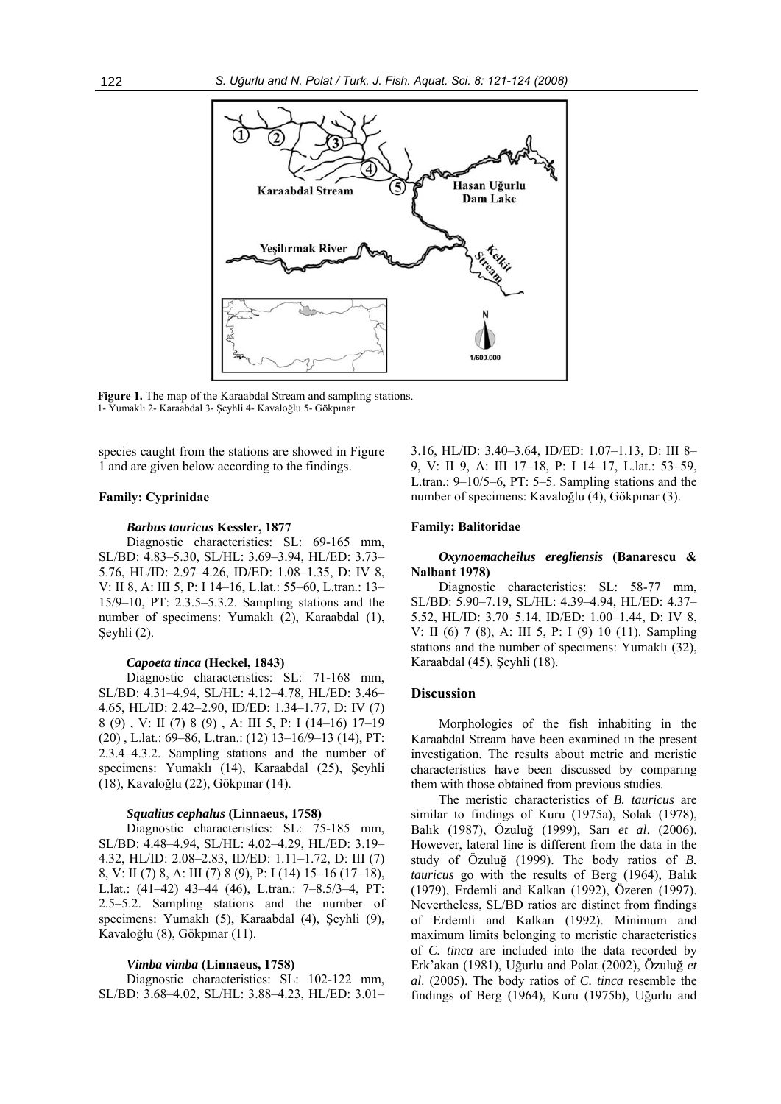

**Figure 1.** The map of the Karaabdal Stream and sampling stations. 1- Yumaklı 2- Karaabdal 3- Şeyhli 4- Kavaloğlu 5- Gökpınar

species caught from the stations are showed in Figure 1 and are given below according to the findings.

## **Family: Cyprinidae**

#### *Barbus tauricus* **Kessler, 1877**

Diagnostic characteristics: SL: 69-165 mm, SL/BD: 4.83–5.30, SL/HL: 3.69–3.94, HL/ED: 3.73– 5.76, HL/ID: 2.97–4.26, ID/ED: 1.08–1.35, D: IV 8, V: II 8, A: III 5, P: I 14–16, L.lat.: 55–60, L.tran.: 13– 15/9–10, PT: 2.3.5–5.3.2. Sampling stations and the number of specimens: Yumaklı (2), Karaabdal (1), Şeyhli (2).

#### *Capoeta tinca* **(Heckel, 1843)**

Diagnostic characteristics: SL: 71-168 mm, SL/BD: 4.31–4.94, SL/HL: 4.12–4.78, HL/ED: 3.46– 4.65, HL/ID: 2.42–2.90, ID/ED: 1.34–1.77, D: IV (7) 8 (9) , V: II (7) 8 (9) , A: III 5, P: I (14–16) 17–19 (20) , L.lat.: 69–86, L.tran.: (12) 13–16/9–13 (14), PT: 2.3.4–4.3.2. Sampling stations and the number of specimens: Yumaklı (14), Karaabdal (25), Şeyhli (18), Kavaloğlu (22), Gökpınar (14).

## *Squalius cephalus* **(Linnaeus, 1758)**

Diagnostic characteristics: SL: 75-185 mm, SL/BD: 4.48–4.94, SL/HL: 4.02–4.29, HL/ED: 3.19– 4.32, HL/ID: 2.08–2.83, ID/ED: 1.11–1.72, D: III (7) 8, V: II (7) 8, A: III (7) 8 (9), P: I (14) 15–16 (17–18), L.lat.: (41–42) 43–44 (46), L.tran.: 7–8.5/3–4, PT: 2.5–5.2. Sampling stations and the number of specimens: Yumaklı (5), Karaabdal (4), Şeyhli (9), Kavaloğlu (8), Gökpınar (11).

#### *Vimba vimba* **(Linnaeus, 1758)**

Diagnostic characteristics: SL: 102-122 mm, SL/BD: 3.68–4.02, SL/HL: 3.88–4.23, HL/ED: 3.01– 3.16, HL/ID: 3.40–3.64, ID/ED: 1.07–1.13, D: III 8– 9, V: II 9, A: III 17–18, P: I 14–17, L.lat.: 53–59, L.tran.:  $9-10/5-6$ , PT: 5-5. Sampling stations and the number of specimens: Kavaloğlu (4), Gökpınar (3).

## **Family: Balitoridae**

## *Oxynoemacheilus eregliensis* **(Banarescu & Nalbant 1978)**

Diagnostic characteristics: SL: 58-77 mm, SL/BD: 5.90–7.19, SL/HL: 4.39–4.94, HL/ED: 4.37– 5.52, HL/ID: 3.70–5.14, ID/ED: 1.00–1.44, D: IV 8, V: II (6) 7 (8), A: III 5, P: I (9) 10 (11). Sampling stations and the number of specimens: Yumaklı (32), Karaabdal (45), Şeyhli (18).

#### **Discussion**

Morphologies of the fish inhabiting in the Karaabdal Stream have been examined in the present investigation. The results about metric and meristic characteristics have been discussed by comparing them with those obtained from previous studies.

The meristic characteristics of *B. tauricus* are similar to findings of Kuru (1975a), Solak (1978), Balık (1987), Özuluğ (1999), Sarı *et al*. (2006). However, lateral line is different from the data in the study of Özuluğ (1999). The body ratios of *B. tauricus* go with the results of Berg (1964), Balık (1979), Erdemli and Kalkan (1992), Özeren (1997). Nevertheless, SL/BD ratios are distinct from findings of Erdemli and Kalkan (1992). Minimum and maximum limits belonging to meristic characteristics of *C. tinca* are included into the data recorded by Erk'akan (1981), Uğurlu and Polat (2002), Özuluğ *et al*. (2005). The body ratios of *C. tinca* resemble the findings of Berg (1964), Kuru (1975b), Uğurlu and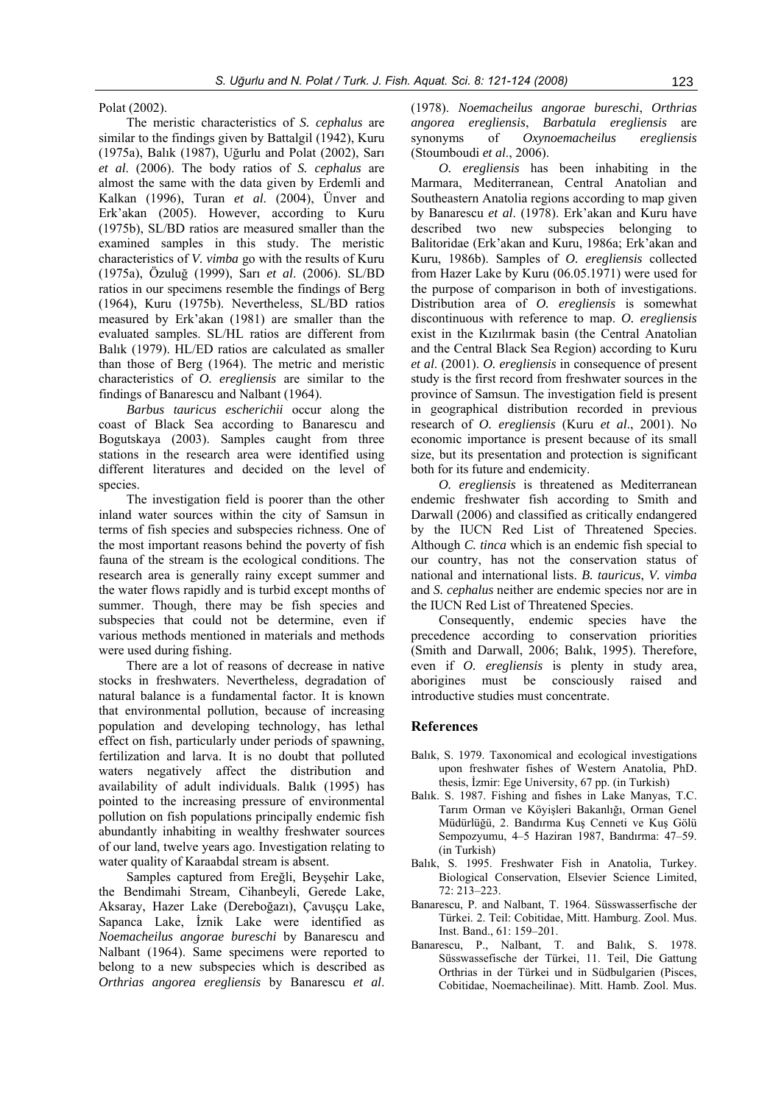Polat (2002).

The meristic characteristics of *S. cephalus* are similar to the findings given by Battalgil (1942), Kuru (1975a), Balık (1987), Uğurlu and Polat (2002), Sarı *et al*. (2006). The body ratios of *S. cephalus* are almost the same with the data given by Erdemli and Kalkan (1996), Turan *et al*. (2004), Ünver and Erk'akan (2005). However, according to Kuru (1975b), SL/BD ratios are measured smaller than the examined samples in this study. The meristic characteristics of *V. vimba* go with the results of Kuru (1975a), Özuluğ (1999), Sarı *et al*. (2006). SL/BD ratios in our specimens resemble the findings of Berg (1964), Kuru (1975b). Nevertheless, SL/BD ratios measured by Erk'akan (1981) are smaller than the evaluated samples. SL/HL ratios are different from Balık (1979). HL/ED ratios are calculated as smaller than those of Berg (1964). The metric and meristic characteristics of *O. eregliensis* are similar to the findings of Banarescu and Nalbant (1964).

*Barbus tauricus escherichii* occur along the coast of Black Sea according to Banarescu and Bogutskaya (2003). Samples caught from three stations in the research area were identified using different literatures and decided on the level of species.

The investigation field is poorer than the other inland water sources within the city of Samsun in terms of fish species and subspecies richness. One of the most important reasons behind the poverty of fish fauna of the stream is the ecological conditions. The research area is generally rainy except summer and the water flows rapidly and is turbid except months of summer. Though, there may be fish species and subspecies that could not be determine, even if various methods mentioned in materials and methods were used during fishing.

There are a lot of reasons of decrease in native stocks in freshwaters. Nevertheless, degradation of natural balance is a fundamental factor. It is known that environmental pollution, because of increasing population and developing technology, has lethal effect on fish, particularly under periods of spawning, fertilization and larva. It is no doubt that polluted waters negatively affect the distribution and availability of adult individuals. Balık (1995) has pointed to the increasing pressure of environmental pollution on fish populations principally endemic fish abundantly inhabiting in wealthy freshwater sources of our land, twelve years ago. Investigation relating to water quality of Karaabdal stream is absent.

Samples captured from Ereğli, Beyşehir Lake, the Bendimahi Stream, Cihanbeyli, Gerede Lake, Aksaray, Hazer Lake (Dereboğazı), Çavuşçu Lake, Sapanca Lake, İznik Lake were identified as *Noemacheilus angorae bureschi* by Banarescu and Nalbant (1964). Same specimens were reported to belong to a new subspecies which is described as *Orthrias angorea eregliensis* by Banarescu *et al*.

(1978). *Noemacheilus angorae bureschi*, *Orthrias angorea eregliensis*, *Barbatula eregliensis* are synonyms of *Oxynoemacheilus eregliensis* (Stoumboudi *et al*., 2006).

*O. eregliensis* has been inhabiting in the Marmara, Mediterranean, Central Anatolian and Southeastern Anatolia regions according to map given by Banarescu *et al*. (1978). Erk'akan and Kuru have described two new subspecies belonging to Balitoridae (Erk'akan and Kuru, 1986a; Erk'akan and Kuru, 1986b). Samples of *O. eregliensis* collected from Hazer Lake by Kuru (06.05.1971) were used for the purpose of comparison in both of investigations. Distribution area of *O. eregliensis* is somewhat discontinuous with reference to map. *O. eregliensis* exist in the Kızılırmak basin (the Central Anatolian and the Central Black Sea Region) according to Kuru *et al*. (2001). *O. eregliensis* in consequence of present study is the first record from freshwater sources in the province of Samsun. The investigation field is present in geographical distribution recorded in previous research of *O. eregliensis* (Kuru *et al*., 2001). No economic importance is present because of its small size, but its presentation and protection is significant both for its future and endemicity.

*O. eregliensis* is threatened as Mediterranean endemic freshwater fish according to Smith and Darwall (2006) and classified as critically endangered by the IUCN Red List of Threatened Species. Although *C. tinca* which is an endemic fish special to our country, has not the conservation status of national and international lists. *B. tauricus*, *V. vimba*  and *S. cephalus* neither are endemic species nor are in the IUCN Red List of Threatened Species.

Consequently, endemic species have the precedence according to conservation priorities (Smith and Darwall, 2006; Balık, 1995). Therefore, even if *O. eregliensis* is plenty in study area, aborigines must be consciously raised and introductive studies must concentrate.

# **References**

- Balık, S. 1979. Taxonomical and ecological investigations upon freshwater fishes of Western Anatolia, PhD. thesis, İzmir: Ege University, 67 pp. (in Turkish)
- Balık. S. 1987. Fishing and fishes in Lake Manyas, T.C. Tarım Orman ve Köyişleri Bakanlığı, Orman Genel Müdürlüğü, 2. Bandırma Kuş Cenneti ve Kuş Gölü Sempozyumu, 4–5 Haziran 1987, Bandırma: 47–59. (in Turkish)
- Balık, S. 1995. Freshwater Fish in Anatolia, Turkey. Biological Conservation, Elsevier Science Limited, 72: 213–223.
- Banarescu, P. and Nalbant, T. 1964. Süsswasserfische der Türkei. 2. Teil: Cobitidae, Mitt. Hamburg. Zool. Mus. Inst. Band., 61: 159–201.
- Banarescu, P., Nalbant, T. and Balık, S. 1978. Süsswassefische der Türkei, 11. Teil, Die Gattung Orthrias in der Türkei und in Südbulgarien (Pisces, Cobitidae, Noemacheilinae). Mitt. Hamb. Zool. Mus.